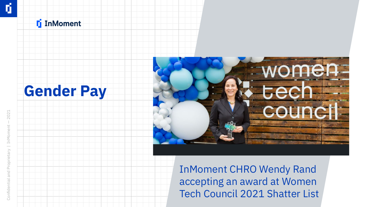### **F** InMoment





InMoment CHRO Wendy Rand accepting an award at Women Tech Council 2021 Shatter List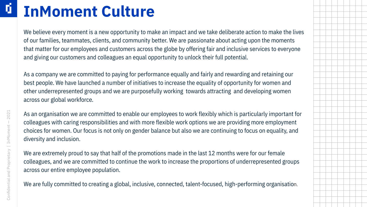### Ú. **InMoment Culture**

We believe every moment is a new opportunity to make an impact and we take deliberate action to make the lives of our families, teammates, clients, and community better. We are passionate about acting upon the moments that matter for our employees and customers across the globe by offering fair and inclusive services to everyone and giving our customers and colleagues an equal opportunity to unlock their full potential.

As a company we are committed to paying for performance equally and fairly and rewarding and retaining our best people. We have launched a number of initiatives to increase the equality of opportunity for women and other underrepresented groups and we are purposefully working towards attracting and developing women across our global workforce.

As an organisation we are committed to enable our employees to work flexibly which is particularly important for colleagues with caring responsibilities and with more flexible work options we are providing more employment choices for women. Our focus is not only on gender balance but also we are continuing to focus on equality, and diversity and inclusion.

We are extremely proud to say that half of the promotions made in the last 12 months were for our female colleagues, and we are committed to continue the work to increase the proportions of underrepresented groups across our entire employee population.

We are fully committed to creating a global, inclusive, connected, talent-focused, high-performing organisation.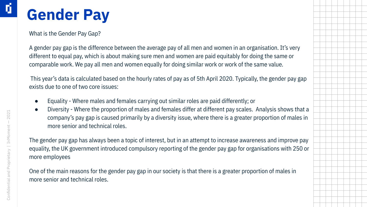### **Gender Pay**

What is the Gender Pay Gap?

A gender pay gap is the difference between the average pay of all men and women in an organisation. It's very different to equal pay, which is about making sure men and women are paid equitably for doing the same or comparable work. We pay all men and women equally for doing similar work or work of the same value.

 This year's data is calculated based on the hourly rates of pay as of 5th April 2020. Typically, the gender pay gap exists due to one of two core issues:

- Equality Where males and females carrying out similar roles are paid differently; or
- Diversity Where the proportion of males and females differ at different pay scales. Analysis shows that a company's pay gap is caused primarily by a diversity issue, where there is a greater proportion of males in more senior and technical roles.

The gender pay gap has always been a topic of interest, but in an attempt to increase awareness and improve pay equality, the UK government introduced compulsory reporting of the gender pay gap for organisations with 250 or more employees

One of the main reasons for the gender pay gap in our society is that there is a greater proportion of males in more senior and technical roles.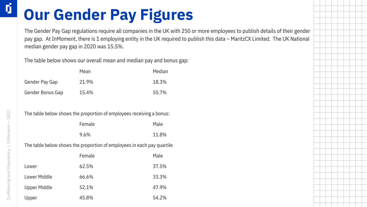## **Our Gender Pay Figures**

The Gender Pay Gap regulations require all companies in the UK with 250 or more employees to publish details of their gender pay gap. At InMoment, there is 1 employing entity in the UK required to publish this data – MaritzCX Limited. The UK National median gender pay gap in 2020 was 15.5%.

The table below shows our overall mean and median pay and bonus gap:

|                  | Mean  | Median |
|------------------|-------|--------|
| Gender Pay Gap   | 21.9% | 18.3%  |
| Gender Bonus Gap | 15.4% | 55.7%  |

The table below shows the proportion of employees receiving a bonus:

| Female | Male  |
|--------|-------|
| 9.6%   | 11.8% |

The table below shows the proportion of employees in each pay quartile

|                     | Female | Male  |
|---------------------|--------|-------|
| Lower               | 62.5%  | 37.5% |
| Lower Middle        | 66.6%  | 33.3% |
| <b>Upper Middle</b> | 52.1%  | 47.9% |
| Upper               | 45.8%  | 54.2% |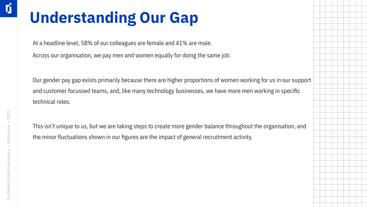## **Understanding Our Gap**

At a headline level, 58% of our colleagues are female and 41% are male.

Across our organisation, we pay men and women equally for doing the same job.

Our gender pay gap exists primarily because there are higher proportions of women working for us in our support and customer focussed teams, and, like many technology businesses, we have more men working in specific technical roles.

This isn't unique to us, but we are taking steps to create more gender balance throughout the organisation, and the minor fluctuations shown in our figures are the impact of general recruitment activity.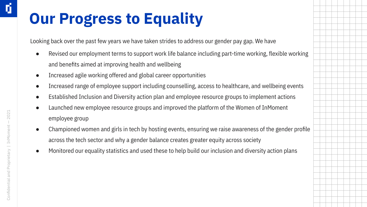## **Our Progress to Equality**

Looking back over the past few years we have taken strides to address our gender pay gap. We have

- Revised our employment terms to support work life balance including part-time working, flexible working and benefits aimed at improving health and wellbeing
- Increased agile working offered and global career opportunities
- Increased range of employee support including counselling, access to healthcare, and wellbeing events
- Established Inclusion and Diversity action plan and employee resource groups to implement actions
- Launched new employee resource groups and improved the platform of the Women of InMoment employee group
- Championed women and girls in tech by hosting events, ensuring we raise awareness of the gender profile across the tech sector and why a gender balance creates greater equity across society
- Monitored our equality statistics and used these to help build our inclusion and diversity action plans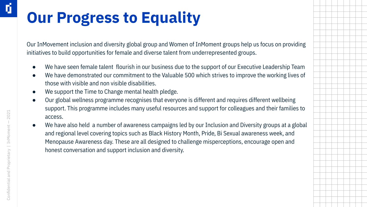# **Our Progress to Equality**

Our InMovement inclusion and diversity global group and Women of InMoment groups help us focus on providing initiatives to build opportunities for female and diverse talent from underrepresented groups.

- We have seen female talent flourish in our business due to the support of our Executive Leadership Team
- We have demonstrated our commitment to the Valuable 500 which strives to improve the working lives of those with visible and non visible disabilities.
- We support the Time to Change mental health pledge.
- Our global wellness programme recognises that everyone is different and requires different wellbeing support. This programme includes many useful resources and support for colleagues and their families to access.
- We have also held a number of awareness campaigns led by our Inclusion and Diversity groups at a global and regional level covering topics such as Black History Month, Pride, Bi Sexual awareness week, and Menopause Awareness day. These are all designed to challenge misperceptions, encourage open and honest conversation and support inclusion and diversity.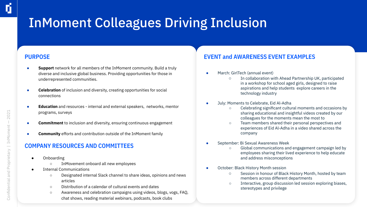### InMoment Colleagues Driving Inclusion

#### **PURPOSE**

- **Support** network for all members of the InMoment community. Build a truly diverse and inclusive global business. Providing opportunities for those in underrepresented communities.
- **Celebration** of inclusion and diversity, creating opportunities for social connections
- **Education** and resources internal and external speakers, networks, mentor programs, surveys
- **Commitment** to inclusion and diversity, ensuring continuous engagement
- **Community** efforts and contribution outside of the InMoment family

#### **COMPANY RESOURCES AND COMMITTEES**

- Onboarding
	- InMovement onboard all new employees
- Internal Communications
	- Designated internal Slack channel to share ideas, opinions and news articles
	- Distribution of a calendar of cultural events and dates
	- Awareness and celebration campaigns using videos, blogs, vogs, FAQ, chat shows, reading material webinars, podcasts, book clubs

#### **EVENT and AWARENESS EVENT EXAMPLES**

- March: GirlTech (annual event)
	- In collaboration with Ahead Partnership UK, participated in a workshop for school aged girls, designed to raise aspirations and help students explore careers in the technology industry
- July: Moments to Celebrate, Eid Al-Adha
	- Celebrating significant cultural moments and occasions by sharing educational and insightful videos created by our colleagues for the moments mean the most to
	- Team members shared their personal perspectives and experiences of Eid Al-Adha in a video shared across the company
- September: Bi Sexual Awareness Week
	- Global communications and engagement campaign led by employees sharing their lived experience to help educate and address misconceptions
- October: Black History Month session
	- Session in honour of Black History Month, hosted by team members across different departments
	- Interactive, group discussion led session exploring biases, stereotypes and privilege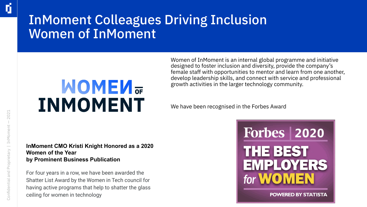### InMoment Colleagues Driving Inclusion Women of InMoment

# **MOMEN**<sub>OF</sub> **INMOMENT**

Women of InMoment is an internal global programme and initiative designed to foster inclusion and diversity, provide the company's female staff with opportunities to mentor and learn from one another, develop leadership skills, and connect with service and professional growth activities in the larger technology community.

We have been recognised in the Forbes Award

#### **InMoment CMO Kristi Knight Honored as a 2020 Women of the Year by Prominent Business Publication**

For four years in a row, we have been awarded the Shatter List Award by the Women in Tech council for having active programs that help to shatter the glass ceiling for women in technology



**POWERED BY STATISTA** 

ú